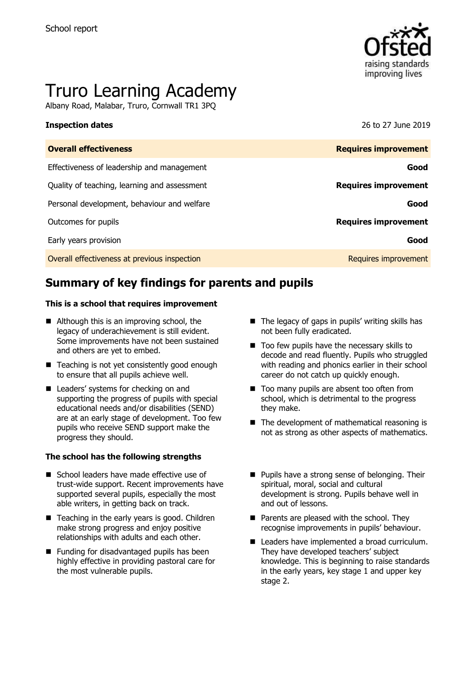

# Truro Learning Academy

Albany Road, Malabar, Truro, Cornwall TR1 3PQ

**Inspection dates** 26 to 27 June 2019

| <b>Overall effectiveness</b>                 | <b>Requires improvement</b> |
|----------------------------------------------|-----------------------------|
| Effectiveness of leadership and management   | Good                        |
| Quality of teaching, learning and assessment | <b>Requires improvement</b> |
| Personal development, behaviour and welfare  | Good                        |
| Outcomes for pupils                          | <b>Requires improvement</b> |
| Early years provision                        | Good                        |
| Overall effectiveness at previous inspection | Requires improvement        |
|                                              |                             |

# **Summary of key findings for parents and pupils**

#### **This is a school that requires improvement**

- Although this is an improving school, the legacy of underachievement is still evident. Some improvements have not been sustained and others are yet to embed.
- Teaching is not yet consistently good enough to ensure that all pupils achieve well.
- Leaders' systems for checking on and supporting the progress of pupils with special educational needs and/or disabilities (SEND) are at an early stage of development. Too few pupils who receive SEND support make the progress they should.

#### **The school has the following strengths**

- School leaders have made effective use of trust-wide support. Recent improvements have supported several pupils, especially the most able writers, in getting back on track.
- Teaching in the early years is good. Children make strong progress and enjoy positive relationships with adults and each other.
- Funding for disadvantaged pupils has been highly effective in providing pastoral care for the most vulnerable pupils.
- The legacy of gaps in pupils' writing skills has not been fully eradicated.
- Too few pupils have the necessary skills to decode and read fluently. Pupils who struggled with reading and phonics earlier in their school career do not catch up quickly enough.
- Too many pupils are absent too often from school, which is detrimental to the progress they make.
- The development of mathematical reasoning is not as strong as other aspects of mathematics.
- Pupils have a strong sense of belonging. Their spiritual, moral, social and cultural development is strong. Pupils behave well in and out of lessons.
- Parents are pleased with the school. They recognise improvements in pupils' behaviour.
- Leaders have implemented a broad curriculum. They have developed teachers' subject knowledge. This is beginning to raise standards in the early years, key stage 1 and upper key stage 2.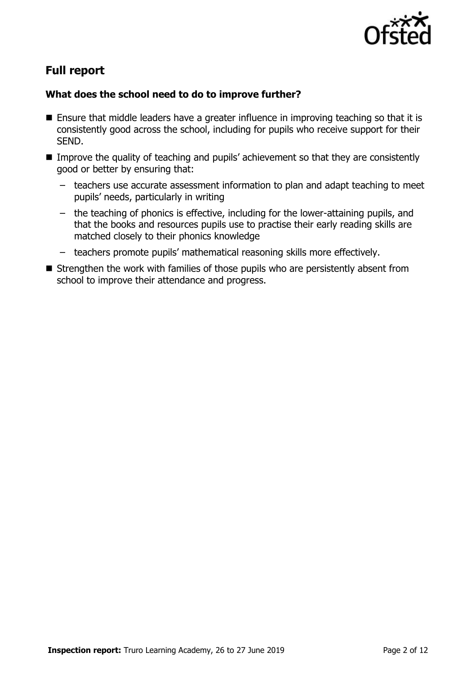

# **Full report**

### **What does the school need to do to improve further?**

- Ensure that middle leaders have a greater influence in improving teaching so that it is consistently good across the school, including for pupils who receive support for their SEND.
- Improve the quality of teaching and pupils' achievement so that they are consistently good or better by ensuring that:
	- teachers use accurate assessment information to plan and adapt teaching to meet pupils' needs, particularly in writing
	- the teaching of phonics is effective, including for the lower-attaining pupils, and that the books and resources pupils use to practise their early reading skills are matched closely to their phonics knowledge
	- teachers promote pupils' mathematical reasoning skills more effectively.
- Strengthen the work with families of those pupils who are persistently absent from school to improve their attendance and progress.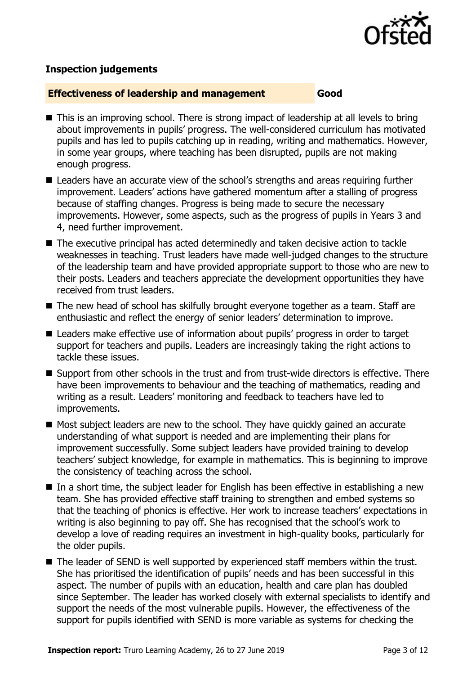

### **Inspection judgements**

#### **Effectiveness of leadership and management Good**

- This is an improving school. There is strong impact of leadership at all levels to bring about improvements in pupils' progress. The well-considered curriculum has motivated pupils and has led to pupils catching up in reading, writing and mathematics. However, in some year groups, where teaching has been disrupted, pupils are not making enough progress.
- Leaders have an accurate view of the school's strengths and areas requiring further improvement. Leaders' actions have gathered momentum after a stalling of progress because of staffing changes. Progress is being made to secure the necessary improvements. However, some aspects, such as the progress of pupils in Years 3 and 4, need further improvement.
- The executive principal has acted determinedly and taken decisive action to tackle weaknesses in teaching. Trust leaders have made well-judged changes to the structure of the leadership team and have provided appropriate support to those who are new to their posts. Leaders and teachers appreciate the development opportunities they have received from trust leaders.
- The new head of school has skilfully brought everyone together as a team. Staff are enthusiastic and reflect the energy of senior leaders' determination to improve.
- Leaders make effective use of information about pupils' progress in order to target support for teachers and pupils. Leaders are increasingly taking the right actions to tackle these issues.
- Support from other schools in the trust and from trust-wide directors is effective. There have been improvements to behaviour and the teaching of mathematics, reading and writing as a result. Leaders' monitoring and feedback to teachers have led to improvements.
- Most subject leaders are new to the school. They have quickly gained an accurate understanding of what support is needed and are implementing their plans for improvement successfully. Some subject leaders have provided training to develop teachers' subject knowledge, for example in mathematics. This is beginning to improve the consistency of teaching across the school.
- In a short time, the subject leader for English has been effective in establishing a new team. She has provided effective staff training to strengthen and embed systems so that the teaching of phonics is effective. Her work to increase teachers' expectations in writing is also beginning to pay off. She has recognised that the school's work to develop a love of reading requires an investment in high-quality books, particularly for the older pupils.
- The leader of SEND is well supported by experienced staff members within the trust. She has prioritised the identification of pupils' needs and has been successful in this aspect. The number of pupils with an education, health and care plan has doubled since September. The leader has worked closely with external specialists to identify and support the needs of the most vulnerable pupils. However, the effectiveness of the support for pupils identified with SEND is more variable as systems for checking the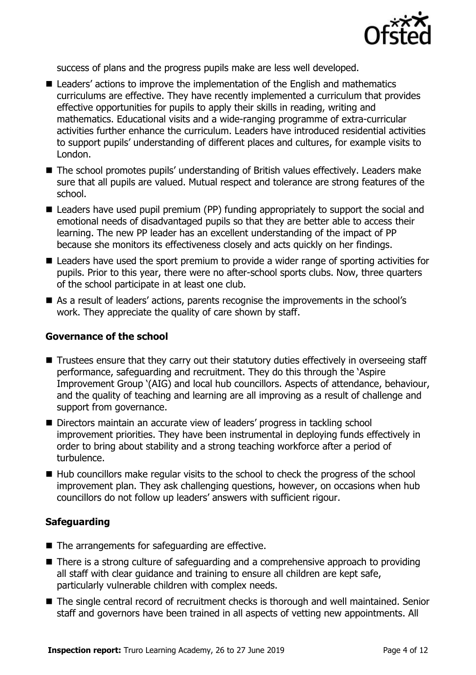

success of plans and the progress pupils make are less well developed.

- Leaders' actions to improve the implementation of the English and mathematics curriculums are effective. They have recently implemented a curriculum that provides effective opportunities for pupils to apply their skills in reading, writing and mathematics. Educational visits and a wide-ranging programme of extra-curricular activities further enhance the curriculum. Leaders have introduced residential activities to support pupils' understanding of different places and cultures, for example visits to London.
- The school promotes pupils' understanding of British values effectively. Leaders make sure that all pupils are valued. Mutual respect and tolerance are strong features of the school.
- Leaders have used pupil premium (PP) funding appropriately to support the social and emotional needs of disadvantaged pupils so that they are better able to access their learning. The new PP leader has an excellent understanding of the impact of PP because she monitors its effectiveness closely and acts quickly on her findings.
- Leaders have used the sport premium to provide a wider range of sporting activities for pupils. Prior to this year, there were no after-school sports clubs. Now, three quarters of the school participate in at least one club.
- As a result of leaders' actions, parents recognise the improvements in the school's work. They appreciate the quality of care shown by staff.

#### **Governance of the school**

- Trustees ensure that they carry out their statutory duties effectively in overseeing staff performance, safeguarding and recruitment. They do this through the 'Aspire Improvement Group '(AIG) and local hub councillors. Aspects of attendance, behaviour, and the quality of teaching and learning are all improving as a result of challenge and support from governance.
- Directors maintain an accurate view of leaders' progress in tackling school improvement priorities. They have been instrumental in deploying funds effectively in order to bring about stability and a strong teaching workforce after a period of turbulence.
- Hub councillors make regular visits to the school to check the progress of the school improvement plan. They ask challenging questions, however, on occasions when hub councillors do not follow up leaders' answers with sufficient rigour.

### **Safeguarding**

- The arrangements for safeguarding are effective.
- There is a strong culture of safeguarding and a comprehensive approach to providing all staff with clear guidance and training to ensure all children are kept safe, particularly vulnerable children with complex needs.
- The single central record of recruitment checks is thorough and well maintained. Senior staff and governors have been trained in all aspects of vetting new appointments. All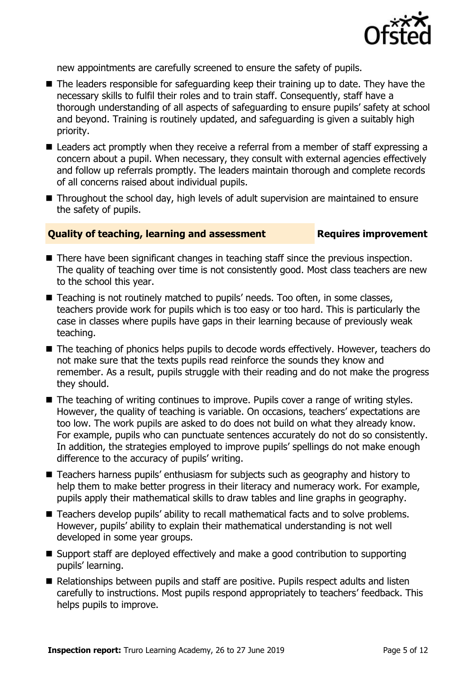

new appointments are carefully screened to ensure the safety of pupils.

- The leaders responsible for safeguarding keep their training up to date. They have the necessary skills to fulfil their roles and to train staff. Consequently, staff have a thorough understanding of all aspects of safeguarding to ensure pupils' safety at school and beyond. Training is routinely updated, and safeguarding is given a suitably high priority.
- Leaders act promptly when they receive a referral from a member of staff expressing a concern about a pupil. When necessary, they consult with external agencies effectively and follow up referrals promptly. The leaders maintain thorough and complete records of all concerns raised about individual pupils.
- Throughout the school day, high levels of adult supervision are maintained to ensure the safety of pupils.

### **Quality of teaching, learning and assessment Requires improvement**

- There have been significant changes in teaching staff since the previous inspection. The quality of teaching over time is not consistently good. Most class teachers are new to the school this year.
- Teaching is not routinely matched to pupils' needs. Too often, in some classes, teachers provide work for pupils which is too easy or too hard. This is particularly the case in classes where pupils have gaps in their learning because of previously weak teaching.
- The teaching of phonics helps pupils to decode words effectively. However, teachers do not make sure that the texts pupils read reinforce the sounds they know and remember. As a result, pupils struggle with their reading and do not make the progress they should.
- The teaching of writing continues to improve. Pupils cover a range of writing styles. However, the quality of teaching is variable. On occasions, teachers' expectations are too low. The work pupils are asked to do does not build on what they already know. For example, pupils who can punctuate sentences accurately do not do so consistently. In addition, the strategies employed to improve pupils' spellings do not make enough difference to the accuracy of pupils' writing.
- Teachers harness pupils' enthusiasm for subjects such as geography and history to help them to make better progress in their literacy and numeracy work. For example, pupils apply their mathematical skills to draw tables and line graphs in geography.
- Teachers develop pupils' ability to recall mathematical facts and to solve problems. However, pupils' ability to explain their mathematical understanding is not well developed in some year groups.
- Support staff are deployed effectively and make a good contribution to supporting pupils' learning.
- Relationships between pupils and staff are positive. Pupils respect adults and listen carefully to instructions. Most pupils respond appropriately to teachers' feedback. This helps pupils to improve.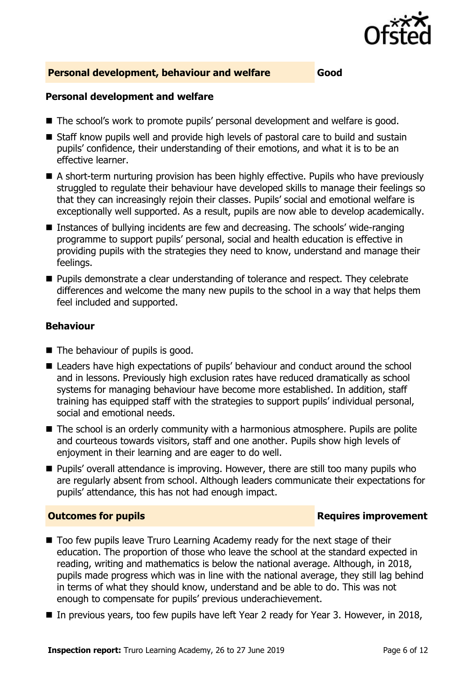

#### **Personal development, behaviour and welfare Good**

#### **Personal development and welfare**

- The school's work to promote pupils' personal development and welfare is good.
- Staff know pupils well and provide high levels of pastoral care to build and sustain pupils' confidence, their understanding of their emotions, and what it is to be an effective learner.
- A short-term nurturing provision has been highly effective. Pupils who have previously struggled to regulate their behaviour have developed skills to manage their feelings so that they can increasingly rejoin their classes. Pupils' social and emotional welfare is exceptionally well supported. As a result, pupils are now able to develop academically.
- Instances of bullying incidents are few and decreasing. The schools' wide-ranging programme to support pupils' personal, social and health education is effective in providing pupils with the strategies they need to know, understand and manage their feelings.
- Pupils demonstrate a clear understanding of tolerance and respect. They celebrate differences and welcome the many new pupils to the school in a way that helps them feel included and supported.

#### **Behaviour**

- The behaviour of pupils is good.
- Leaders have high expectations of pupils' behaviour and conduct around the school and in lessons. Previously high exclusion rates have reduced dramatically as school systems for managing behaviour have become more established. In addition, staff training has equipped staff with the strategies to support pupils' individual personal, social and emotional needs.
- The school is an orderly community with a harmonious atmosphere. Pupils are polite and courteous towards visitors, staff and one another. Pupils show high levels of enjoyment in their learning and are eager to do well.
- Pupils' overall attendance is improving. However, there are still too many pupils who are regularly absent from school. Although leaders communicate their expectations for pupils' attendance, this has not had enough impact.

#### **Outcomes for pupils Requires improvement**

- Too few pupils leave Truro Learning Academy ready for the next stage of their education. The proportion of those who leave the school at the standard expected in reading, writing and mathematics is below the national average. Although, in 2018, pupils made progress which was in line with the national average, they still lag behind in terms of what they should know, understand and be able to do. This was not enough to compensate for pupils' previous underachievement.
- In previous years, too few pupils have left Year 2 ready for Year 3. However, in 2018,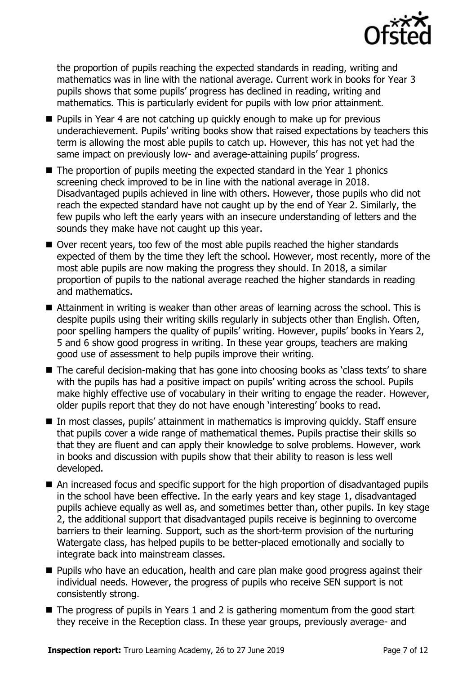

the proportion of pupils reaching the expected standards in reading, writing and mathematics was in line with the national average. Current work in books for Year 3 pupils shows that some pupils' progress has declined in reading, writing and mathematics. This is particularly evident for pupils with low prior attainment.

- Pupils in Year 4 are not catching up quickly enough to make up for previous underachievement. Pupils' writing books show that raised expectations by teachers this term is allowing the most able pupils to catch up. However, this has not yet had the same impact on previously low- and average-attaining pupils' progress.
- The proportion of pupils meeting the expected standard in the Year 1 phonics screening check improved to be in line with the national average in 2018. Disadvantaged pupils achieved in line with others. However, those pupils who did not reach the expected standard have not caught up by the end of Year 2. Similarly, the few pupils who left the early years with an insecure understanding of letters and the sounds they make have not caught up this year.
- Over recent years, too few of the most able pupils reached the higher standards expected of them by the time they left the school. However, most recently, more of the most able pupils are now making the progress they should. In 2018, a similar proportion of pupils to the national average reached the higher standards in reading and mathematics.
- Attainment in writing is weaker than other areas of learning across the school. This is despite pupils using their writing skills regularly in subjects other than English. Often, poor spelling hampers the quality of pupils' writing. However, pupils' books in Years 2, 5 and 6 show good progress in writing. In these year groups, teachers are making good use of assessment to help pupils improve their writing.
- The careful decision-making that has gone into choosing books as 'class texts' to share with the pupils has had a positive impact on pupils' writing across the school. Pupils make highly effective use of vocabulary in their writing to engage the reader. However, older pupils report that they do not have enough 'interesting' books to read.
- In most classes, pupils' attainment in mathematics is improving quickly. Staff ensure that pupils cover a wide range of mathematical themes. Pupils practise their skills so that they are fluent and can apply their knowledge to solve problems. However, work in books and discussion with pupils show that their ability to reason is less well developed.
- An increased focus and specific support for the high proportion of disadvantaged pupils in the school have been effective. In the early years and key stage 1, disadvantaged pupils achieve equally as well as, and sometimes better than, other pupils. In key stage 2, the additional support that disadvantaged pupils receive is beginning to overcome barriers to their learning. Support, such as the short-term provision of the nurturing Watergate class, has helped pupils to be better-placed emotionally and socially to integrate back into mainstream classes.
- Pupils who have an education, health and care plan make good progress against their individual needs. However, the progress of pupils who receive SEN support is not consistently strong.
- The progress of pupils in Years 1 and 2 is gathering momentum from the good start they receive in the Reception class. In these year groups, previously average- and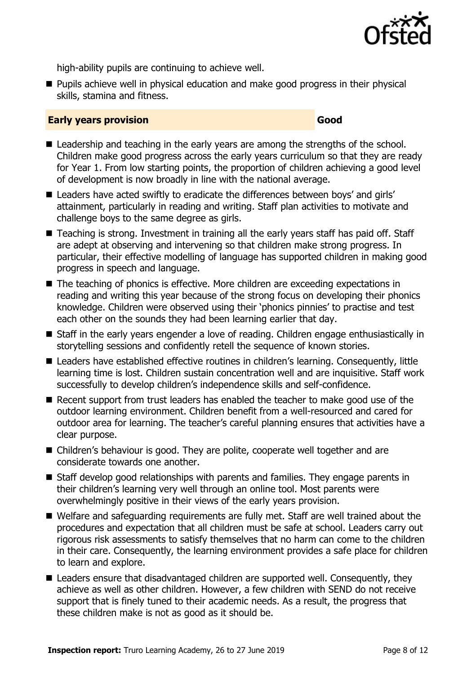

high-ability pupils are continuing to achieve well.

■ Pupils achieve well in physical education and make good progress in their physical skills, stamina and fitness.

#### **Early years provision Good Good**

- Leadership and teaching in the early years are among the strengths of the school. Children make good progress across the early years curriculum so that they are ready for Year 1. From low starting points, the proportion of children achieving a good level of development is now broadly in line with the national average.
- Leaders have acted swiftly to eradicate the differences between boys' and girls' attainment, particularly in reading and writing. Staff plan activities to motivate and challenge boys to the same degree as girls.
- Teaching is strong. Investment in training all the early years staff has paid off. Staff are adept at observing and intervening so that children make strong progress. In particular, their effective modelling of language has supported children in making good progress in speech and language.
- The teaching of phonics is effective. More children are exceeding expectations in reading and writing this year because of the strong focus on developing their phonics knowledge. Children were observed using their 'phonics pinnies' to practise and test each other on the sounds they had been learning earlier that day.
- Staff in the early years engender a love of reading. Children engage enthusiastically in storytelling sessions and confidently retell the sequence of known stories.
- Leaders have established effective routines in children's learning. Consequently, little learning time is lost. Children sustain concentration well and are inquisitive. Staff work successfully to develop children's independence skills and self-confidence.
- Recent support from trust leaders has enabled the teacher to make good use of the outdoor learning environment. Children benefit from a well-resourced and cared for outdoor area for learning. The teacher's careful planning ensures that activities have a clear purpose.
- Children's behaviour is good. They are polite, cooperate well together and are considerate towards one another.
- Staff develop good relationships with parents and families. They engage parents in their children's learning very well through an online tool. Most parents were overwhelmingly positive in their views of the early years provision.
- Welfare and safeguarding requirements are fully met. Staff are well trained about the procedures and expectation that all children must be safe at school. Leaders carry out rigorous risk assessments to satisfy themselves that no harm can come to the children in their care. Consequently, the learning environment provides a safe place for children to learn and explore.
- Leaders ensure that disadvantaged children are supported well. Consequently, they achieve as well as other children. However, a few children with SEND do not receive support that is finely tuned to their academic needs. As a result, the progress that these children make is not as good as it should be.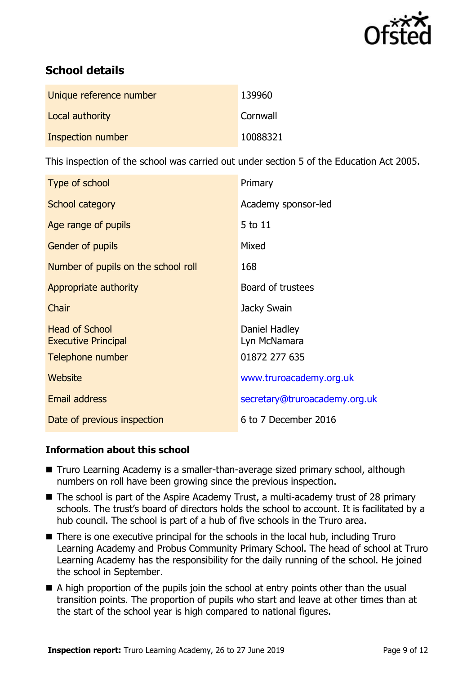

# **School details**

| Unique reference number | 139960   |
|-------------------------|----------|
| Local authority         | Cornwall |
| Inspection number       | 10088321 |

This inspection of the school was carried out under section 5 of the Education Act 2005.

| Type of school                                      | Primary                       |
|-----------------------------------------------------|-------------------------------|
| School category                                     | Academy sponsor-led           |
| Age range of pupils                                 | 5 to 11                       |
| <b>Gender of pupils</b>                             | Mixed                         |
| Number of pupils on the school roll                 | 168                           |
| Appropriate authority                               | Board of trustees             |
| Chair                                               | Jacky Swain                   |
| <b>Head of School</b><br><b>Executive Principal</b> | Daniel Hadley<br>Lyn McNamara |
| Telephone number                                    | 01872 277 635                 |
| Website                                             | www.truroacademy.org.uk       |
| <b>Email address</b>                                | secretary@truroacademy.org.uk |
| Date of previous inspection                         | 6 to 7 December 2016          |

### **Information about this school**

- Truro Learning Academy is a smaller-than-average sized primary school, although numbers on roll have been growing since the previous inspection.
- The school is part of the Aspire Academy Trust, a multi-academy trust of 28 primary schools. The trust's board of directors holds the school to account. It is facilitated by a hub council. The school is part of a hub of five schools in the Truro area.
- There is one executive principal for the schools in the local hub, including Truro Learning Academy and Probus Community Primary School. The head of school at Truro Learning Academy has the responsibility for the daily running of the school. He joined the school in September.
- $\blacksquare$  A high proportion of the pupils join the school at entry points other than the usual transition points. The proportion of pupils who start and leave at other times than at the start of the school year is high compared to national figures.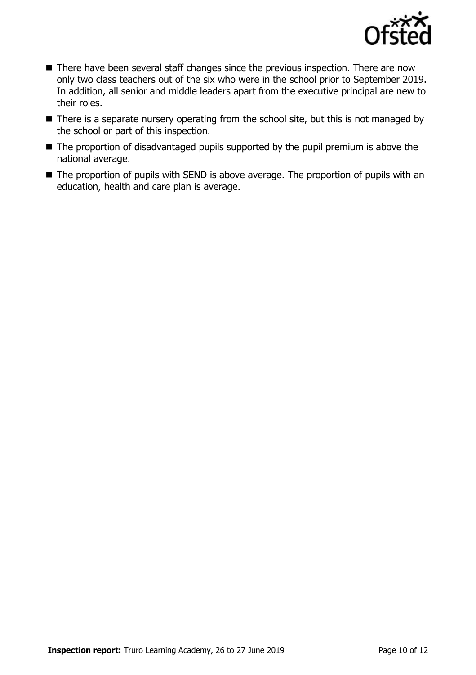

- There have been several staff changes since the previous inspection. There are now only two class teachers out of the six who were in the school prior to September 2019. In addition, all senior and middle leaders apart from the executive principal are new to their roles.
- There is a separate nursery operating from the school site, but this is not managed by the school or part of this inspection.
- The proportion of disadvantaged pupils supported by the pupil premium is above the national average.
- The proportion of pupils with SEND is above average. The proportion of pupils with an education, health and care plan is average.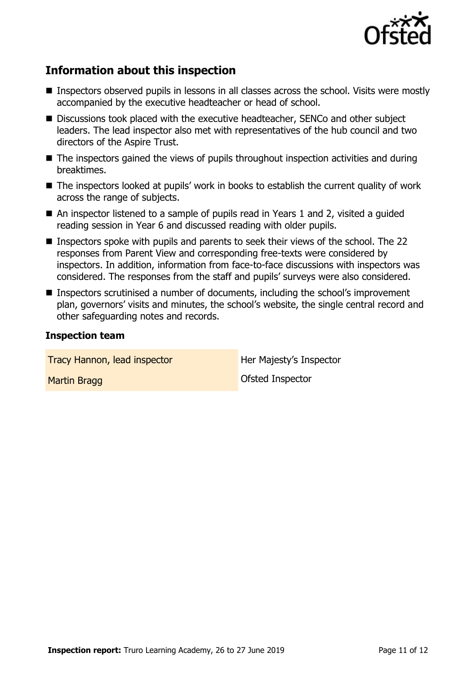

## **Information about this inspection**

- Inspectors observed pupils in lessons in all classes across the school. Visits were mostly accompanied by the executive headteacher or head of school.
- Discussions took placed with the executive headteacher, SENCo and other subject leaders. The lead inspector also met with representatives of the hub council and two directors of the Aspire Trust.
- The inspectors gained the views of pupils throughout inspection activities and during breaktimes.
- The inspectors looked at pupils' work in books to establish the current quality of work across the range of subjects.
- An inspector listened to a sample of pupils read in Years 1 and 2, visited a guided reading session in Year 6 and discussed reading with older pupils.
- Inspectors spoke with pupils and parents to seek their views of the school. The 22 responses from Parent View and corresponding free-texts were considered by inspectors. In addition, information from face-to-face discussions with inspectors was considered. The responses from the staff and pupils' surveys were also considered.
- Inspectors scrutinised a number of documents, including the school's improvement plan, governors' visits and minutes, the school's website, the single central record and other safeguarding notes and records.

#### **Inspection team**

| Tracy Hannon, lead inspector | Her Majesty's Inspector |
|------------------------------|-------------------------|
| Martin Bragg                 | Ofsted Inspector        |